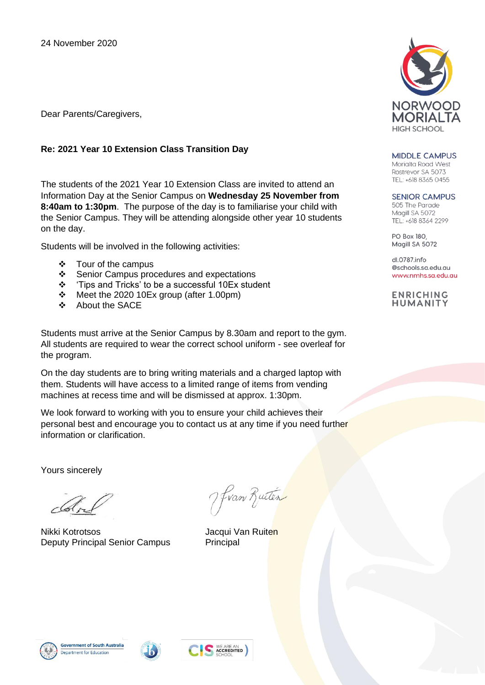Dear Parents/Caregivers,

## **Re: 2021 Year 10 Extension Class Transition Day**

The students of the 2021 Year 10 Extension Class are invited to attend an Information Day at the Senior Campus on **Wednesday 25 November from 8:40am to 1:30pm**. The purpose of the day is to familiarise your child with the Senior Campus. They will be attending alongside other year 10 students on the day.

Students will be involved in the following activities:

- ❖ Tour of the campus
- ❖ Senior Campus procedures and expectations
- ❖ 'Tips and Tricks' to be a successful 10Ex student
- ❖ Meet the 2020 10Ex group (after 1.00pm)
- ❖ About the SACE

Students must arrive at the Senior Campus by 8.30am and report to the gym. All students are required to wear the correct school uniform - see overleaf for the program.

On the day students are to bring writing materials and a charged laptop with them. Students will have access to a limited range of items from vending machines at recess time and will be dismissed at approx. 1:30pm.

We look forward to working with you to ensure your child achieves their personal best and encourage you to contact us at any time if you need further information or clarification.

Yours sincerely

Nikki Kotrotsos **Jacqui Van Ruiten** Deputy Principal Senior Campus Principal

Hvan Ruten



**MIDDLE CAMPUS** Morialta Road West

Rostrevor SA 5073 TEL: +618 8365 0455

## **SENIOR CAMPUS**

505 The Parade Maaill SA 5072 TEL: +618 8364 2299

**PO Box 180** Magill SA 5072

 $d$  0787 info @schools.sa.edu.au www.nmhs.sa.edu.au

**ENRICHING HUMANITY**